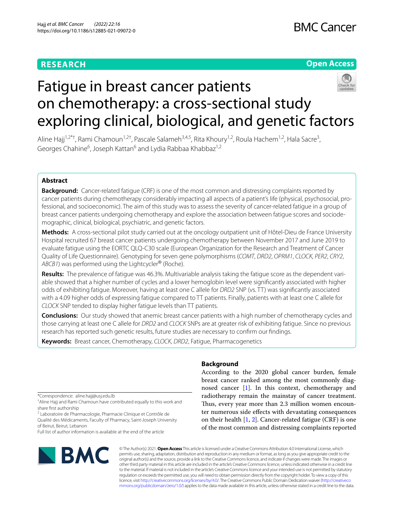# **RESEARCH**

# **Open Access**



# Fatigue in breast cancer patients on chemotherapy: a cross-sectional study exploring clinical, biological, and genetic factors

Aline Hajj<sup>1,2\*†</sup>, Rami Chamoun<sup>1,2†</sup>, Pascale Salameh<sup>3,4,5</sup>, Rita Khoury<sup>1,2</sup>, Roula Hachem<sup>1,2</sup>, Hala Sacre<sup>3</sup>, Georges Chahine<sup>6</sup>, Joseph Kattan<sup>6</sup> and Lydia Rabbaa Khabbaz<sup>1,2</sup>

## **Abstract**

**Background:** Cancer-related fatigue (CRF) is one of the most common and distressing complaints reported by cancer patients during chemotherapy considerably impacting all aspects of a patient's life (physical, psychosocial, professional, and socioeconomic). The aim of this study was to assess the severity of cancer-related fatigue in a group of breast cancer patients undergoing chemotherapy and explore the association between fatigue scores and sociodemographic, clinical, biological, psychiatric, and genetic factors.

**Methods:** A cross-sectional pilot study carried out at the oncology outpatient unit of Hôtel-Dieu de France University Hospital recruited 67 breast cancer patients undergoing chemotherapy between November 2017 and June 2019 to evaluate fatigue using the EORTC QLQ-C30 scale (European Organization for the Research and Treatment of Cancer Quality of Life Questionnaire). Genotyping for seven gene polymorphisms (*COMT*, *DRD2*, *OPRM1*, *CLOCK*, *PER2*, *CRY2*, *ABCB1*) was performed using the Lightcycler® (Roche).

**Results:** The prevalence of fatigue was 46.3%. Multivariable analysis taking the fatigue score as the dependent variable showed that a higher number of cycles and a lower hemoglobin level were signifcantly associated with higher odds of exhibiting fatigue. Moreover, having at least one C allele for *DRD2* SNP (vs. TT) was signifcantly associated with a 4.09 higher odds of expressing fatigue compared to TT patients. Finally, patients with at least one C allele for *CLOCK* SNP tended to display higher fatigue levels than TT patients.

**Conclusions:** Our study showed that anemic breast cancer patients with a high number of chemotherapy cycles and those carrying at least one C allele for *DRD2* and *CLOCK* SNPs are at greater risk of exhibiting fatigue. Since no previous research has reported such genetic results, future studies are necessary to confrm our fndings.

**Keywords:** Breast cancer, Chemotherapy, *CLOCK*, *DRD2*, Fatigue, Pharmacogenetics

\*Correspondence: aline.hajj@usj.edu.lb

<sup>2</sup> Laboratoire de Pharmacologie, Pharmacie Clinique et Contrôle de Qualité des Médicaments, Faculty of Pharmacy, Saint-Joseph University of Beirut, Beirut, Lebanon

Full list of author information is available at the end of the article



## **Background**

According to the 2020 global cancer burden, female breast cancer ranked among the most commonly diagnosed cancer [\[1](#page-8-0)]. In this context, chemotherapy and radiotherapy remain the mainstay of cancer treatment. Thus, every year more than 2.3 million women encounter numerous side efects with devastating consequences on their health  $[1, 2]$  $[1, 2]$  $[1, 2]$ . Cancer-related fatigue (CRF) is one of the most common and distressing complaints reported

© The Author(s) 2021. **Open Access** This article is licensed under a Creative Commons Attribution 4.0 International License, which permits use, sharing, adaptation, distribution and reproduction in any medium or format, as long as you give appropriate credit to the original author(s) and the source, provide a link to the Creative Commons licence, and indicate if changes were made. The images or other third party material in this article are included in the article's Creative Commons licence, unless indicated otherwise in a credit line to the material. If material is not included in the article's Creative Commons licence and your intended use is not permitted by statutory regulation or exceeds the permitted use, you will need to obtain permission directly from the copyright holder. To view a copy of this licence, visit [http://creativecommons.org/licenses/by/4.0/.](http://creativecommons.org/licenses/by/4.0/) The Creative Commons Public Domain Dedication waiver ([http://creativeco](http://creativecommons.org/publicdomain/zero/1.0/) [mmons.org/publicdomain/zero/1.0/](http://creativecommons.org/publicdomain/zero/1.0/)) applies to the data made available in this article, unless otherwise stated in a credit line to the data.

<sup>†</sup> Aline Hajj and Rami Chamoun have contributed equally to this work and share frst authorship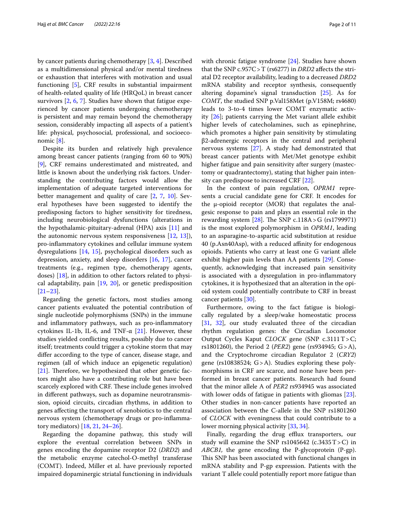by cancer patients during chemotherapy [[3](#page-8-2), [4\]](#page-8-3). Described as a multidimensional physical and/or mental tiredness or exhaustion that interferes with motivation and usual functioning [[5\]](#page-8-4), CRF results in substantial impairment of health-related quality of life (HRQoL) in breast cancer survivors [[2](#page-8-1), [6,](#page-8-5) [7\]](#page-8-6). Studies have shown that fatigue experienced by cancer patients undergoing chemotherapy is persistent and may remain beyond the chemotherapy session, considerably impacting all aspects of a patient's life: physical, psychosocial, professional, and socioeconomic [\[8](#page-8-7)].

Despite its burden and relatively high prevalence among breast cancer patients (ranging from 60 to 90%) [[9\]](#page-8-8), CRF remains underestimated and mistreated, and little is known about the underlying risk factors. Understanding the contributing factors would allow the implementation of adequate targeted interventions for better management and quality of care [[2](#page-8-1), [7,](#page-8-6) [10\]](#page-8-9). Several hypotheses have been suggested to identify the predisposing factors to higher sensitivity for tiredness, including neurobiological dysfunctions (alterations in the hypothalamic-pituitary-adrenal (HPA) axis [[11](#page-8-10)] and the autonomic nervous system responsiveness [\[12](#page-8-11), [13\]](#page-8-12)), pro-infammatory cytokines and cellular immune system dysregulations [\[14,](#page-8-13) [15\]](#page-8-14), psychological disorders such as depression, anxiety, and sleep disorders [\[16,](#page-8-15) [17\]](#page-8-16), cancer treatments (e.g., regimen type, chemotherapy agents, doses) [[18\]](#page-8-17), in addition to other factors related to physical adaptability, pain [[19](#page-8-18), [20](#page-8-19)], or genetic predisposition [[21–](#page-8-20)[23](#page-8-21)].

Regarding the genetic factors, most studies among cancer patients evaluated the potential contribution of single nucleotide polymorphisms (SNPs) in the immune and infammatory pathways, such as pro-infammatory cytokines IL-1b, IL-6, and TNF- $\alpha$  [\[21](#page-8-20)]. However, these studies yielded conficting results, possibly due to cancer itself; treatments could trigger a cytokine storm that may difer according to the type of cancer, disease stage, and regimen (all of which induce an epigenetic regulation) [[21\]](#page-8-20). Therefore, we hypothesized that other genetic factors might also have a contributing role but have been scarcely explored with CRF. These include genes involved in diferent pathways, such as dopamine neurotransmission, opioid circuits, circadian rhythms, in addition to genes afecting the transport of xenobiotics to the central nervous system (chemotherapy drugs or pro-infammatory mediators) [[18](#page-8-17), [21,](#page-8-20) [24](#page-8-22)[–26\]](#page-8-23).

Regarding the dopamine pathway, this study will explore the eventual correlation between SNPs in genes encoding the dopamine receptor D2 (*DRD2*) and the metabolic enzyme catechol-O-methyl transferase (COMT). Indeed, Miller et al. have previously reported impaired dopaminergic striatal functioning in individuals with chronic fatigue syndrome [[24](#page-8-22)]. Studies have shown that the SNP c.957C>T (rs6277) in *DRD2* afects the striatal D2 receptor availability, leading to a decreased *DRD2* mRNA stability and receptor synthesis, consequently altering dopamine's signal transduction [[25](#page-8-24)]. As for *COMT*, the studied SNP p.Val158Met (p.V158M; rs4680) leads to 3-to-4 times lower COMT enzymatic activity [\[26\]](#page-8-23); patients carrying the Met variant allele exhibit higher levels of catecholamines, such as epinephrine, which promotes a higher pain sensitivity by stimulating β2-adrenergic receptors in the central and peripheral nervous systems [\[27](#page-8-25)]. A study had demonstrated that breast cancer patients with Met/Met genotype exhibit higher fatigue and pain sensitivity after surgery (mastectomy or quadrantectomy), stating that higher pain intensity can predispose to increased CRF [\[22](#page-8-26)].

In the context of pain regulation, *OPRM1* represents a crucial candidate gene for CRF. It encodes for the μ-opioid receptor (MOR) that regulates the analgesic response to pain and plays an essential role in the rewarding system  $[28]$  $[28]$ . The SNP c.118A>G (rs1799971) is the most explored polymorphism in *OPRM1*, leading to an asparagine-to-aspartic acid substitution at residue 40 (p.Asn40Asp), with a reduced affinity for endogenous opioids. Patients who carry at least one G variant allele exhibit higher pain levels than AA patients [[29\]](#page-8-28). Consequently, acknowledging that increased pain sensitivity is associated with a dysregulation in pro-infammatory cytokines, it is hypothesized that an alteration in the opioid system could potentially contribute to CRF in breast cancer patients [\[30\]](#page-8-29).

Furthermore, owing to the fact fatigue is biologically regulated by a sleep/wake homeostatic process [[31,](#page-8-30) [32\]](#page-8-31), our study evaluated three of the circadian rhythm regulation genes: the Circadian Locomotor Output Cycles Kaput *CLOCK* gene (SNP c.3111T>C; rs1801260), the Period 2 (*PER2*) gene (rs934945; G>A), and the Cryptochrome circadian Regulator 2 (*CRY2*) gene (rs10838524; G>A). Studies exploring these polymorphisms in CRF are scarce, and none have been performed in breast cancer patients. Research had found that the minor allele A of *PER2* rs934945 was associated with lower odds of fatigue in patients with gliomas [\[23](#page-8-21)]. Other studies in non-cancer patients have reported an association between the C-allele in the SNP rs1801260 of *CLOCK* with eveningness that could contribute to a lower morning physical activity [\[33](#page-8-32), [34\]](#page-8-33).

Finally, regarding the drug efflux transporters, our study will examine the SNP rs1045642 (c.3435  $T>C$ ) in *ABCB1,* the gene encoding the P-glycoprotein (P-gp). This SNP has been associated with functional changes in mRNA stability and P-gp expression. Patients with the variant T allele could potentially report more fatigue than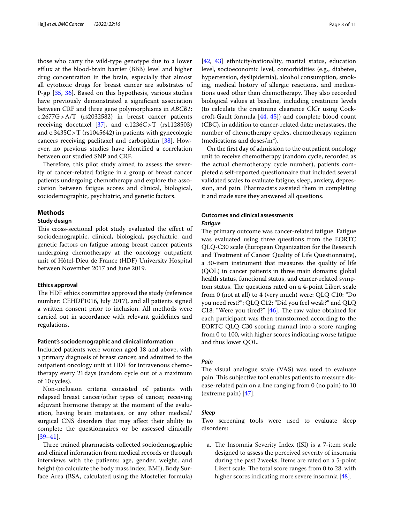those who carry the wild-type genotype due to a lower efflux at the blood-brain barrier (BBB) level and higher drug concentration in the brain, especially that almost all cytotoxic drugs for breast cancer are substrates of P-gp [[35](#page-8-34), [36](#page-8-35)]. Based on this hypothesis, various studies have previously demonstrated a signifcant association between CRF and three gene polymorphisms in *ABCB1*: c.2677G>A/T (rs2032582) in breast cancer patients receiving docetaxel [\[37](#page-8-36)], and  $c.1236C > T$  (rs1128503) and c.3435C>T (rs1045642) in patients with gynecologic cancers receiving paclitaxel and carboplatin [\[38\]](#page-9-0). However, no previous studies have identifed a correlation between our studied SNP and CRF.

Therefore, this pilot study aimed to assess the severity of cancer-related fatigue in a group of breast cancer patients undergoing chemotherapy and explore the association between fatigue scores and clinical, biological, sociodemographic, psychiatric, and genetic factors.

#### **Methods**

#### **Study design**

This cross-sectional pilot study evaluated the effect of sociodemographic, clinical, biological, psychiatric, and genetic factors on fatigue among breast cancer patients undergoing chemotherapy at the oncology outpatient unit of Hôtel-Dieu de France (HDF) University Hospital between November 2017 and June 2019.

#### **Ethics approval**

The HDF ethics committee approved the study (reference number: CEHDF1016, July 2017), and all patients signed a written consent prior to inclusion. All methods were carried out in accordance with relevant guidelines and regulations.

#### **Patient's sociodemographic and clinical information**

Included patients were women aged 18 and above, with a primary diagnosis of breast cancer, and admitted to the outpatient oncology unit at HDF for intravenous chemotherapy every 21days (random cycle out of a maximum of 10cycles).

Non-inclusion criteria consisted of patients with relapsed breast cancer/other types of cancer, receiving adjuvant hormone therapy at the moment of the evaluation, having brain metastasis, or any other medical/ surgical CNS disorders that may afect their ability to complete the questionnaires or be assessed clinically [[39–](#page-9-1)[41](#page-9-2)].

Three trained pharmacists collected sociodemographic and clinical information from medical records or through interviews with the patients: age, gender, weight, and height (to calculate the body mass index, BMI), Body Surface Area (BSA, calculated using the Mosteller formula)

[[42,](#page-9-3) [43\]](#page-9-4) ethnicity/nationality, marital status, education level, socioeconomic level, comorbidities (e.g., diabetes, hypertension, dyslipidemia), alcohol consumption, smoking, medical history of allergic reactions, and medications used other than chemotherapy. They also recorded biological values at baseline, including creatinine levels (to calculate the creatinine clearance ClCr using Cockcroft-Gault formula [\[44,](#page-9-5) [45](#page-9-6)]) and complete blood count (CBC), in addition to cancer-related data: metastases, the number of chemotherapy cycles, chemotherapy regimen (medications and doses/ $m<sup>2</sup>$ ).

On the frst day of admission to the outpatient oncology unit to receive chemotherapy (random cycle, recorded as the actual chemotherapy cycle number), patients completed a self-reported questionnaire that included several validated scales to evaluate fatigue, sleep, anxiety, depression, and pain. Pharmacists assisted them in completing it and made sure they answered all questions.

#### **Outcomes and clinical assessments** *Fatigue*

The primary outcome was cancer-related fatigue. Fatigue was evaluated using three questions from the EORTC QLQ-C30 scale (European Organization for the Research and Treatment of Cancer Quality of Life Questionnaire), a 30-item instrument that measures the quality of life (QOL) in cancer patients in three main domains: global health status, functional status, and cancer-related symptom status. The questions rated on a 4-point Likert scale from 0 (not at all) to 4 (very much) were: QLQ C10: "Do you need rest?"; QLQ C12: "Did you feel weak?" and QLQ C18: "Were you tired?"  $[46]$  $[46]$ . The raw value obtained for each participant was then transformed according to the EORTC QLQ-C30 scoring manual into a score ranging from 0 to 100, with higher scores indicating worse fatigue and thus lower QOL.

#### *Pain*

The visual analogue scale (VAS) was used to evaluate pain. This subjective tool enables patients to measure disease-related pain on a line ranging from 0 (no pain) to 10 (extreme pain) [[47\]](#page-9-8).

#### *Sleep*

Two screening tools were used to evaluate sleep disorders:

a. The Insomnia Severity Index (ISI) is a 7-item scale designed to assess the perceived severity of insomnia during the past 2weeks. Items are rated on a 5-point Likert scale. The total score ranges from 0 to 28, with higher scores indicating more severe insomnia [\[48\]](#page-9-9).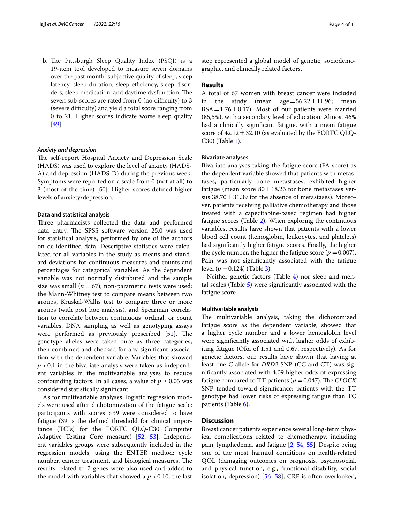b. The Pittsburgh Sleep Quality Index (PSQI) is a 19-item tool developed to measure seven domains over the past month: subjective quality of sleep, sleep latency, sleep duration, sleep efficiency, sleep disorders, sleep medication, and daytime dysfunction. The seven sub-scores are rated from  $0$  (no difficulty) to  $3$ (severe difficulty) and yield a total score ranging from 0 to 21. Higher scores indicate worse sleep quality [[49\]](#page-9-10).

#### *Anxiety and depression*

The self-report Hospital Anxiety and Depression Scale (HADS) was used to explore the level of anxiety (HADS-A) and depression (HADS-D) during the previous week. Symptoms were reported on a scale from 0 (not at all) to 3 (most of the time) [[50\]](#page-9-11). Higher scores defned higher levels of anxiety/depression.

#### **Data and statistical analysis**

Three pharmacists collected the data and performed data entry. The SPSS software version 25.0 was used for statistical analysis, performed by one of the authors on de-identifed data. Descriptive statistics were calculated for all variables in the study as means and standard deviations for continuous measures and counts and percentages for categorical variables. As the dependent variable was not normally distributed and the sample size was small  $(n = 67)$ , non-parametric tests were used: the Mann-Whitney test to compare means between two groups, Kruskal-Wallis test to compare three or more groups (with post hoc analysis), and Spearman correlation to correlate between continuous, ordinal, or count variables. DNA sampling as well as genotyping assays were performed as previously prescribed  $[51]$  $[51]$ . The genotype alleles were taken once as three categories, then combined and checked for any signifcant association with the dependent variable. Variables that showed  $p$  <0.1 in the bivariate analysis were taken as independent variables in the multivariable analyses to reduce confounding factors. In all cases, a value of  $p \leq 0.05$  was considered statistically signifcant.

As for multivariable analyses, logistic regression models were used after dichotomization of the fatigue scale: participants with scores >39 were considered to have fatigue (39 is the defned threshold for clinical importance (TCIs) for the EORTC QLQ-C30 Computer Adaptive Testing Core measure) [\[52](#page-9-13), [53](#page-9-14)]. Independent variables groups were subsequently included in the regression models, using the ENTER method: cycle number, cancer treatment, and biological measures. The results related to 7 genes were also used and added to the model with variables that showed a  $p < 0.10$ ; the last step represented a global model of genetic, sociodemographic, and clinically related factors.

#### **Results**

A total of 67 women with breast cancer were included in the study (mean  $age=56.22\pm11.96$ ; mean  $BSA = 1.76 \pm 0.17$ ). Most of our patients were married (85,5%), with a secondary level of education. Almost 46% had a clinically signifcant fatigue, with a mean fatigue score of  $42.12 \pm 32.10$  (as evaluated by the EORTC QLQ-C30) (Table [1\)](#page-4-0).

#### **Bivariate analyses**

Bivariate analyses taking the fatigue score (FA score) as the dependent variable showed that patients with metastases, particularly bone metastases, exhibited higher fatigue (mean score  $80 \pm 18.26$  for bone metastases versus  $38.70 \pm 31.39$  for the absence of metastases). Moreover, patients receiving palliative chemotherapy and those treated with a capecitabine-based regimen had higher fatigue scores (Table [2\)](#page-5-0). When exploring the continuous variables, results have shown that patients with a lower blood cell count (hemoglobin, leukocytes, and platelets) had signifcantly higher fatigue scores. Finally, the higher the cycle number, the higher the fatigue score ( $p = 0.007$ ). Pain was not signifcantly associated with the fatigue level  $(p = 0.124)$  (Table [3](#page-6-0)).

Neither genetic factors (Table [4\)](#page-6-1) nor sleep and mental scales (Table [5](#page-6-2)) were signifcantly associated with the fatigue score.

#### **Multivariable analysis**

The multivariable analysis, taking the dichotomized fatigue score as the dependent variable, showed that a higher cycle number and a lower hemoglobin level were signifcantly associated with higher odds of exhibiting fatigue (ORa of 1.51 and 0.67, respectively). As for genetic factors, our results have shown that having at least one C allele for *DRD2* SNP (CC and CT) was signifcantly associated with 4.09 higher odds of expressing fatigue compared to TT patients ( $p = 0.047$ ). The *CLOCK* SNP tended toward signifcance: patients with the TT genotype had lower risks of expressing fatigue than TC patients (Table [6](#page-7-0)).

#### **Discussion**

Breast cancer patients experience several long-term physical complications related to chemotherapy, including pain, lymphedema, and fatigue [\[2](#page-8-1), [54](#page-9-15), [55](#page-9-16)]. Despite being one of the most harmful conditions on health-related QOL (damaging outcomes on prognosis, psychosocial, and physical function, e.g., functional disability, social isolation, depression) [[56](#page-9-17)[–58](#page-9-18)], CRF is often overlooked,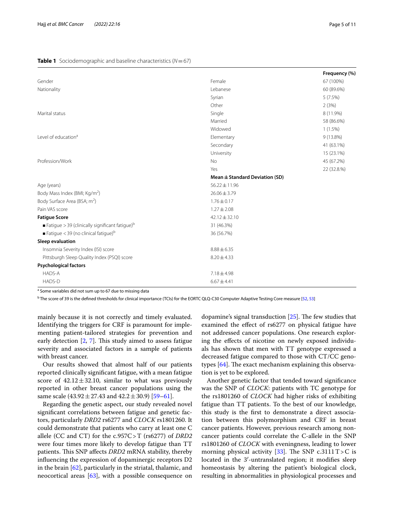#### <span id="page-4-0"></span>**Table 1** Sociodemographic and baseline characteristics (*N*=67)

|                                                              |                                    | Frequency (%) |
|--------------------------------------------------------------|------------------------------------|---------------|
| Gender                                                       | Female                             | 67 (100%)     |
| Nationality                                                  | Lebanese                           | 60 (89.6%)    |
|                                                              | Syrian                             | 5(7.5%)       |
|                                                              | Other                              | 2(3%)         |
| Marital status                                               | Single                             | 8 (11.9%)     |
|                                                              | Married                            | 58 (86.6%)    |
|                                                              | Widowed                            | $1(1.5\%)$    |
| Level of education <sup>a</sup>                              | Elementary                         | $9(13.8\%)$   |
|                                                              | Secondary                          | 41 (63.1%)    |
|                                                              | University                         | 15 (23.1%)    |
| Profession/Work                                              | N <sub>o</sub>                     | 45 (67.2%)    |
|                                                              | Yes                                | 22 (32.8.%)   |
|                                                              | Mean $\pm$ Standard Deviation (SD) |               |
| Age (years)                                                  | $56.22 \pm 11.96$                  |               |
| Body Mass Index (BMI; Kg/m <sup>2</sup> )                    | $26.06 \pm 3.79$                   |               |
| Body Surface Area (BSA; m <sup>2</sup> )                     | $1.76 \pm 0.17$                    |               |
| Pain VAS score                                               | $1.27 \pm 2.08$                    |               |
| <b>Fatigue Score</b>                                         | $42.12 \pm 32.10$                  |               |
| ■ Fatigue > 39 (clinically significant fatigue) <sup>b</sup> | 31 (46.3%)                         |               |
| Fatigue < 39 (no clinical fatigue) <sup>b</sup>              | 36 (56.7%)                         |               |
| Sleep evaluation                                             |                                    |               |
| Insomnia Severity Index (ISI) score                          | $8.88 \pm 6.35$                    |               |
| Pittsburgh Sleep Quality Index (PSQI) score                  | $8.20 \pm 4.33$                    |               |
| <b>Psychological factors</b>                                 |                                    |               |
| HADS-A                                                       | $7.18 \pm 4.98$                    |               |
| HADS-D                                                       | $6.67 \pm 4.41$                    |               |

<sup>a</sup> Some variables did not sum up to 67 due to missing data

 $^{\rm b}$  The score of 39 is the defined thresholds for clinical importance (TCIs) for the EORTC QLQ-C30 Computer Adaptive Testing Core measure [\[52,](#page-9-13) [53\]](#page-9-14)

mainly because it is not correctly and timely evaluated. Identifying the triggers for CRF is paramount for implementing patient-tailored strategies for prevention and early detection  $[2, 7]$  $[2, 7]$  $[2, 7]$  $[2, 7]$  $[2, 7]$ . This study aimed to assess fatigue severity and associated factors in a sample of patients with breast cancer.

Our results showed that almost half of our patients reported clinically signifcant fatigue, with a mean fatigue score of  $42.12 \pm 32.10$ , similar to what was previously reported in other breast cancer populations using the same scale  $(43.92 \pm 27.43$  and  $42.2 \pm 30.9)$  [[59–](#page-9-19)[61](#page-9-20)].

Regarding the genetic aspect, our study revealed novel signifcant correlations between fatigue and genetic factors, particularly *DRD2* rs6277 and *CLOCK* rs1801260. It could demonstrate that patients who carry at least one C allele (CC and CT) for the c.957C>T (rs6277) of *DRD2* were four times more likely to develop fatigue than TT patients. This SNP affects *DRD2* mRNA stability, thereby infuencing the expression of dopaminergic receptors D2 in the brain  $[62]$  $[62]$ , particularly in the striatal, thalamic, and neocortical areas  $[63]$  $[63]$ , with a possible consequence on

dopamine's signal transduction  $[25]$ . The few studies that examined the efect of rs6277 on physical fatigue have not addressed cancer populations. One research exploring the efects of nicotine on newly exposed individuals has shown that men with TT genotype expressed a decreased fatigue compared to those with CT/CC genotypes  $[64]$  $[64]$ . The exact mechanism explaining this observation is yet to be explored.

Another genetic factor that tended toward signifcance was the SNP of *CLOCK*: patients with TC genotype for the rs1801260 of *CLOCK* had higher risks of exhibiting fatigue than TT patients. To the best of our knowledge, this study is the frst to demonstrate a direct association between this polymorphism and CRF in breast cancer patients. However, previous research among noncancer patients could correlate the C-allele in the SNP rs1801260 of *CLOCK* with eveningness, leading to lower morning physical activity [\[33](#page-8-32)]. The SNP c.3111  $T>C$  is located in the 3'-untranslated region; it modifies sleep homeostasis by altering the patient's biological clock, resulting in abnormalities in physiological processes and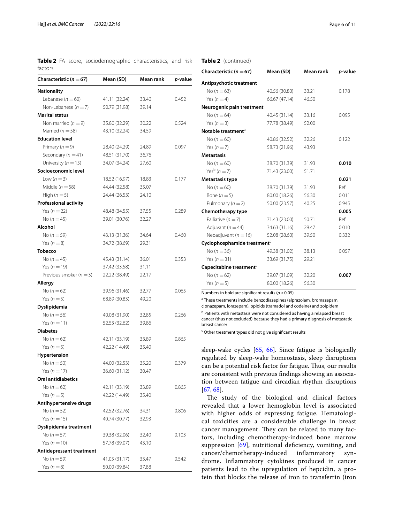<span id="page-5-0"></span>**Table 2** FA score, sociodemographic characteristics, and risk factors

| Characteristic ( $n = 67$ )  | Mean (SD)     | Mean rank | <i>p</i> -value |
|------------------------------|---------------|-----------|-----------------|
| Nationality                  |               |           |                 |
| Lebanese ( $n = 60$ )        | 41.11 (32.24) | 33.40     | 0.452           |
| Non-Lebanese $(n = 7)$       | 50.79 (31.98) | 39.14     |                 |
| <b>Marital status</b>        |               |           |                 |
| Non married $(n=9)$          | 35.80 (32.29) | 30.22     | 0.524           |
| Married ( $n = 58$ )         | 43.10 (32.24) | 34.59     |                 |
| <b>Education level</b>       |               |           |                 |
| Primary ( $n = 9$ )          | 28.40 (24.29) | 24.89     | 0.097           |
| Secondary ( $n = 41$ )       | 48.51 (31.70) | 36.76     |                 |
| University ( $n = 15$ )      | 34.07 (34.24) | 27.60     |                 |
| Socioeconomic level          |               |           |                 |
| Low $(n=3)$                  | 18.52 (16.97) | 18.83     | 0.177           |
| Middle ( $n = 58$ )          | 44.44 (32.58) | 35.07     |                 |
| High $(n=5)$                 | 24.44 (26.53) | 24.10     |                 |
| <b>Professional activity</b> |               |           |                 |
| Yes $(n=22)$                 | 48.48 (34.55) | 37.55     | 0.289           |
| No ( $n = 45$ )              | 39.01 (30.76) | 32.27     |                 |
| Alcohol                      |               |           |                 |
| No ( $n = 59$ )              | 43.13 (31.36) | 34.64     | 0.460           |
| Yes $(n=8)$                  | 34.72 (38.69) | 29.31     |                 |
| <b>Tobacco</b>               |               |           |                 |
| No $(n = 45)$                | 45.43 (31.14) | 36.01     | 0.353           |
| Yes ( $n = 19$ )             | 37.42 (33.58) | 31.11     |                 |
| Previous smoker ( $n = 3$ )  | 22.22 (38.49) | 22.17     |                 |
| Allergy                      |               |           |                 |
| No ( $n = 62$ )              | 39.96 (31.46) | 32.77     | 0.065           |
| Yes $(n=5)$                  | 68.89 (30.83) | 49.20     |                 |
| Dyslipidemia                 |               |           |                 |
| No ( $n = 56$ )              | 40.08 (31.90) | 32.85     | 0.266           |
| Yes $(n = 11)$               | 52.53 (32.62) | 39.86     |                 |
| <b>Diabetes</b>              |               |           |                 |
| No $(n = 62)$                | 42.11 (33.19) | 33.89     | 0.865           |
| Yes $(n=5)$                  | 42.22 (14.49) | 35.40     |                 |
| Hypertension                 |               |           |                 |
| No ( $n = 50$ )              | 44.00 (32.53) | 35.20     | 0.379           |
| Yes ( $n = 17$ )             | 36.60 (31.12) | 30.47     |                 |
| <b>Oral antidiabetics</b>    |               |           |                 |
| No ( $n = 62$ )              | 42.11 (33.19) | 33.89     | 0.865           |
| Yes $(n=5)$                  | 42.22 (14.49) | 35.40     |                 |
| Antihypertensive drugs       |               |           |                 |
| No ( $n = 52$ )              | 42.52 (32.76) | 34.31     | 0.806           |
| Yes $(n=15)$                 | 40.74 (30.77) | 32.93     |                 |
| Dyslipidemia treatment       |               |           |                 |
| No ( $n = 57$ )              | 39.38 (32.06) | 32.40     | 0.103           |
| Yes ( $n = 10$ )             | 57.78 (39.07) | 43.10     |                 |
| Antidepressant treatment     |               |           |                 |
| No ( $n = 59$ )              | 41.05 (31.17) | 33.47     | 0.542           |
|                              |               | 37.88     |                 |

#### **Table 2** (continued)

| Characteristic ( $n = 67$ )             | Mean (SD)     | Mean rank | p-value |
|-----------------------------------------|---------------|-----------|---------|
| Antipsychotic treatment                 |               |           |         |
| No $(n = 63)$                           | 40.56 (30.80) | 33.21     | 0.178   |
| Yes $(n=4)$                             | 66.67 (47.14) | 46.50     |         |
| Neurogenic pain treatment               |               |           |         |
| No $(n = 64)$                           | 40.45 (31.14) | 33.16     | 0.095   |
| Yes $(n=3)$                             | 77.78 (38.49) | 52.00     |         |
| Notable treatment <sup>a</sup>          |               |           |         |
| No $(n = 60)$                           | 40.86 (32.52) | 32.26     | 0.122   |
| Yes $(n=7)$                             | 58.73 (21.96) | 43.93     |         |
| <b>Metastasis</b>                       |               |           |         |
| No $(n = 60)$                           | 38.70 (31.39) | 31.93     | 0.010   |
| Yes <sup>b</sup> $(n=7)$                | 71.43 (23.00) | 51.71     |         |
| Metastasis type                         |               |           | 0.021   |
| No $(n = 60)$                           | 38.70 (31.39) | 31.93     | Ref     |
| Bone $(n=5)$                            | 80.00 (18.26) | 56.30     | 0.011   |
| Pulmonary ( $n = 2$ )                   | 50.00 (23.57) | 40.25     | 0.945   |
| Chemotherapy type                       |               |           | 0.005   |
| Palliative $(n = 7)$                    | 71.43 (23.00) | 50.71     | Ref     |
| Adjuvant ( $n = 44$ )                   | 34.63 (31.16) | 28.47     | 0.010   |
| Neoadjuvant ( $n = 16$ )                | 52.08 (28.60) | 39.50     | 0.332   |
| Cyclophosphamide treatment <sup>c</sup> |               |           |         |
| No $(n = 36)$                           | 49.38 (31.02) | 38.13     | 0.057   |
| Yes $(n = 31)$                          | 33.69 (31.75) | 29.21     |         |
| Capecitabine treatment <sup>c</sup>     |               |           |         |
| No $(n = 62)$                           | 39.07 (31.09) | 32.20     | 0.007   |
| Yes $(n=5)$                             | 80.00 (18.26) | 56.30     |         |
|                                         |               |           |         |

Numbers in bold are signifcant results (*p* <0.05)

<sup>a</sup> These treatments include benzodiazepines (alprazolam, bromazepam, clonazepam, lorazepam), opioids (tramadol and codeine) and zolpidem **b** Patients with metastasis were not considered as having a relapsed breast

cancer (thus not excluded) because they had a primary diagnosis of metastatic breast cancer

<sup>c</sup> Other treatment types did not give significant results

sleep-wake cycles [\[65](#page-9-24), [66\]](#page-9-25). Since fatigue is biologically regulated by sleep-wake homeostasis, sleep disruptions can be a potential risk factor for fatigue. Thus, our results are consistent with previous fndings showing an association between fatigue and circadian rhythm disruptions [[67,](#page-9-26) [68](#page-9-27)].

The study of the biological and clinical factors revealed that a lower hemoglobin level is associated with higher odds of expressing fatigue. Hematological toxicities are a considerable challenge in breast cancer management. They can be related to many factors, including chemotherapy-induced bone marrow suppression  $[69]$  $[69]$  $[69]$ , nutritional deficiency, vomiting, and cancer/chemotherapy-induced infammatory syndrome. Infammatory cytokines produced in cancer patients lead to the upregulation of hepcidin, a protein that blocks the release of iron to transferrin (iron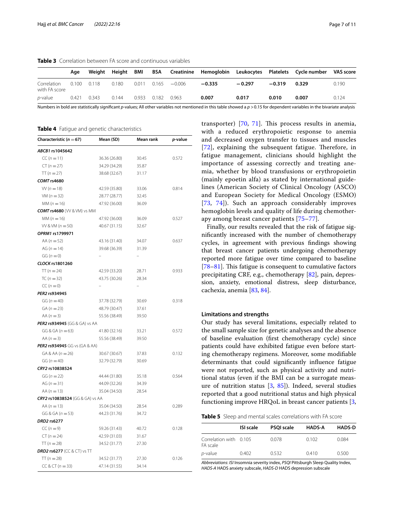<span id="page-6-0"></span>**Table 3** Correlation between FA score and continuous variables

|                              | Aae   | Weiaht | Heiaht | BMI   | BSA   |          |          |          |          | Creatinine Hemoglobin Leukocytes Platelets Cyclenumber VAS score |       |
|------------------------------|-------|--------|--------|-------|-------|----------|----------|----------|----------|------------------------------------------------------------------|-------|
| Correlation<br>with FA score | 0.100 | 0.118  | 0.180  | 0.011 | 0.165 | $-0.006$ | $-0.335$ | $-0.297$ | $-0.319$ | 0.329                                                            | 0.190 |
| <i>p</i> -value              | 0.421 | 0.343  | 0.144  | 0.933 | 0.182 | 0.963    | 0.007    | 0.017    | 0.010    | 0.007                                                            | 0.124 |

Numbers in bold are statistically significant *p*-values; All other variables not mentioned in this table showed a *p* > 0.15 for dependent variables in the bivariate analysis

<span id="page-6-1"></span>**Table 4** Fatigue and genetic characteristics

| Characteristic ( $n = 67$ )        | Mean (SD)     | Mean rank | p-value |
|------------------------------------|---------------|-----------|---------|
| ABCB1 rs1045642                    |               |           |         |
| $CC (n = 11)$                      | 36.36 (26.80) | 30.45     | 0.572   |
| $CT (n = 27)$                      | 34.29 (34.29) | 35.87     |         |
| $TT(n=27)$                         | 38.68 (32.67) | 31.17     |         |
| COMT rs4680                        |               |           |         |
| $VV (n = 18)$                      | 42.59 (35.80) | 33.06     | 0.814   |
| $VM (n = 32)$                      | 28.77 (28.77) | 32.45     |         |
| $MM (n = 16)$                      | 47.92 (36.00) | 36.09     |         |
| <b>COMT rs4680</b> (VV & VM) vs MM |               |           |         |
| $MM (n = 16)$                      | 47.92 (36.00) | 36.09     | 0.527   |
| $VV & VM(n = 50)$                  | 40.67 (31.15) | 32.67     |         |
| OPRM1 rs1799971                    |               |           |         |
| AA $(n = 52)$                      | 43.16 (31.40) | 34.07     | 0.637   |
| AG ( $n = 14$ )                    | 39.68 (36.39) | 31.39     |         |
| $GG (n = 0)$                       |               |           |         |
| CLOCK rs1801260                    |               |           |         |
| $TT(n = 24)$                       | 42.59 (33.20) | 28.71     | 0.933   |
| TC $(n = 32)$                      | 43.75 (30.26) | 28.34     |         |
| $CC (n = 0)$                       |               |           |         |
| PER2 rs934945                      |               |           |         |
| $GG (n = 40)$                      | 37.78 (32.79) | 30.69     | 0.318   |
| $GA (n = 23)$                      | 48.79 (30.47) | 37.61     |         |
| AA $(n=3)$                         | 55.56 (38.49) | 39.50     |         |
| PER2 rs934945 (GG & GA) vs AA      |               |           |         |
| $GG & GA (n = 63)$                 | 41.80 (32.16) | 33.21     | 0.572   |
| AA $(n=3)$                         | 55.56 (38.49) | 39.50     |         |
| PER2 rs934945 GG vs (GA & AA)      |               |           |         |
| $GA & AA (n = 26)$                 | 30.67 (30.67) | 37.83     | 0.132   |
| $GG (n = 40)$                      | 32.79 (32.79) | 30.69     |         |
| CRY2 rs10838524                    |               |           |         |
| $GG (n = 22)$                      | 44.44 (31.80) | 35.18     | 0.564   |
| AG $(n = 31)$                      | 44.09 (32.26) | 34.39     |         |
| AA $(n = 13)$                      | 35.04 (34.50) | 28.54     |         |
| CRY2 rs10838524 (GG & GA) vs AA    |               |           |         |
| AA $(n = 13)$                      | 35.04 (34.50) | 28.54     | 0.289   |
| GG & GA $(n = 53)$                 | 44.23 (31.76) | 34.72     |         |
| DRD2 rs6277                        |               |           |         |
| $CC (n = 9)$                       | 59.26 (31.43) | 40.72     | 0.128   |
| $CT (n = 24)$                      | 42.59 (31.03) | 31.67     |         |
| $TT(n=28)$                         | 34.52 (31.77) | 27.30     |         |
| <b>DRD2 rs6277</b> (CC & CT) vs TT |               |           |         |
| $TT(n = 28)$                       | 34.52 (31.77) | 27.30     | 0.126   |
| $CC & CT (n = 33)$                 | 47.14 (31.55) | 34.14     |         |

transporter)  $[70, 71]$  $[70, 71]$  $[70, 71]$  $[70, 71]$  $[70, 71]$ . This process results in anemia, with a reduced erythropoietic response to anemia and decreased oxygen transfer to tissues and muscles  $[72]$  $[72]$  $[72]$ , explaining the subsequent fatigue. Therefore, in fatigue management, clinicians should highlight the importance of assessing correctly and treating anemia, whether by blood transfusions or erythropoietin (mainly epoetin alfa) as stated by international guidelines (American Society of Clinical Oncology (ASCO) and European Society for Medical Oncology (ESMO) [[73](#page-9-32), [74\]](#page-9-33)). Such an approach considerably improves hemoglobin levels and quality of life during chemotherapy among breast cancer patients [[75–](#page-9-34)[77](#page-9-35)].

Finally, our results revealed that the risk of fatigue signifcantly increased with the number of chemotherapy cycles, in agreement with previous fndings showing that breast cancer patients undergoing chemotherapy reported more fatigue over time compared to baseline [[78–](#page-9-36)[81\]](#page-10-0). This fatigue is consequent to cumulative factors precipitating CRF, e.g., chemotherapy [\[82](#page-10-1)], pain, depression, anxiety, emotional distress, sleep disturbance, cachexia, anemia [[83,](#page-10-2) [84](#page-10-3)].

#### **Limitations and strengths**

Our study has several limitations, especially related to the small sample size for genetic analyses and the absence of baseline evaluation (frst chemotherapy cycle) since patients could have exhibited fatigue even before starting chemotherapy regimens. Moreover, some modifable determinants that could signifcantly infuence fatigue were not reported, such as physical activity and nutritional status (even if the BMI can be a surrogate measure of nutrition status [[3,](#page-8-2) [85](#page-10-4)]). Indeed, several studies reported that a good nutritional status and high physical functioning improve HRQoL in breast cancer patients [\[3](#page-8-2),

<span id="page-6-2"></span>**Table 5** Sleep and mental scales correlations with FA score

|                                    | <b>ISI scale</b> | <b>PSOI scale</b> | <b>HADS-A</b> | <b>HADS-D</b> |
|------------------------------------|------------------|-------------------|---------------|---------------|
| Correlation with 0.105<br>FA scale |                  | 0.078             | 0.102         | 0.084         |
| <i>p</i> -value                    | 0.402            | 0.532             | 0.410         | 0.500         |

*Abbreviations*: *ISI* Insomnia severity index, *PSQI* Pittsburgh Sleep Quality Index, *HADS-A* HADS anxiety subscale, *HADS-D* HADS depression subscale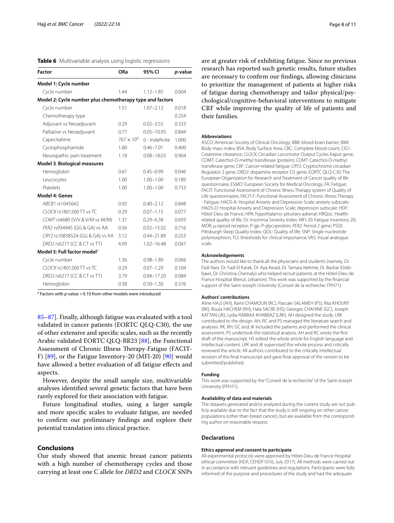<span id="page-7-0"></span>

|  | Table 6 Multivariable analysis using logistic regressions |  |  |  |  |
|--|-----------------------------------------------------------|--|--|--|--|
|--|-----------------------------------------------------------|--|--|--|--|

| <b>Factor</b>                                            | ORa                 | 95% CI         | p-value |
|----------------------------------------------------------|---------------------|----------------|---------|
| Model 1: Cycle number                                    |                     |                |         |
| Cycle number                                             | 1.44                | $1.12 - 1.85$  | 0.004   |
| Model 2: Cycle number plus chemotherapy type and factors |                     |                |         |
| Cycle number                                             | 1.51                | $1.07 - 2.12$  | 0.018   |
| Chemotherapy type                                        |                     |                | 0.254   |
| Adjuvant vs Neoadjuvant                                  | 0.29                | $0.02 - 3.55$  | 0.333   |
| Palliative vs Neoadjuvant                                | 0.77                | $0.05 - 10.95$ | 0.844   |
| Capecitabine                                             | $767 \times 10^{6}$ | 0 - Indefinite | 1.000   |
| Cyclophosphamide                                         | 1.80                | $0.46 - 7.01$  | 0.400   |
| Neuropathic pain treatment                               | 1.18                | $0.08 - 18.03$ | 0.904   |
| Model 3: Biological measures                             |                     |                |         |
| Hemoglobin                                               | 0.67                | $0.45 - 0.99$  | 0.046   |
| Leucocytes                                               | 1.00                | $1.00 - 1.00$  | 0.189   |
| Platelets                                                | 1.00                | $1.00 - 1.00$  | 0.733   |
| <b>Model 4: Genes</b>                                    |                     |                |         |
| ABCB1 rs1045642                                          | 0.92                | $0.40 - 2.12$  | 0.848   |
| CLOCK rs1801260 TT vs TC                                 | 0.29                | $0.07 - 1.15$  | 0.077   |
| COMT rs4680 (V/V & V/M vs M/M)                           | 1.37                | $0.29 - 6.38$  | 0.693   |
| PER2 rs934945 (GG & GA) vs AA                            | 0.56                | $0.02 - 13.02$ | 0.716   |
| CRY2 rs10838524 (GG & GA) vs AA                          | 3.12                | $0.44 - 21.89$ | 0.253   |
| DRD2 rs6277 (CC & CT vs TT)                              | 4.09                | $1.02 - 16.48$ | 0.047   |
| Model 5: Full factor model <sup>a</sup>                  |                     |                |         |
| Cycle number                                             | 1.36                | $0.98 - 1.89$  | 0.066   |
| CLOCK rs1801260 TT vs TC                                 | 0.29                | $0.07 - 1.29$  | 0.104   |
| DRD2 rs6277 (CC & CT vs TT)                              | 3.79                | $0.84 - 17.20$ | 0.084   |
| Hemoglobin                                               | 0.38                | $0.50 - 1.30$  | 0.376   |

<sup>a</sup> Factors with *p*-value < 0.10 from other models were introduced

[85–](#page-10-4)[87](#page-10-5)]. Finally, although fatigue was evaluated with a tool validated in cancer patients (EORTC QLQ-C30), the use of other extensive and specifc scales, such as the recently Arabic validated EORTC QLQ-BR23 [\[88](#page-10-6)], the Functional Assessment of Chronic Illness Therapy-Fatigue (FACIT-F)  $[89]$  $[89]$ , or the Fatigue Inventory-20 (MFI-20)  $[90]$  $[90]$  would have allowed a better evaluation of all fatigue effects and aspects.

However, despite the small sample size, multivariable analyses identifed several genetic factors that have been rarely explored for their association with fatigue.

Future longitudinal studies, using a larger sample and more specifc scales to evaluate fatigue, are needed to confrm our preliminary fndings and explore their potential translation into clinical practice.

#### **Conclusions**

Our study showed that anemic breast cancer patients with a high number of chemotherapy cycles and those carrying at least one C allele for *DRD2* and *CLOCK* SNPs are at greater risk of exhibiting fatigue. Since no previous research has reported such genetic results, future studies are necessary to confrm our fndings, allowing clinicians to prioritize the management of patients at higher risks of fatigue during chemotherapy and tailor physical/psychological/cognitive-behavioral interventions to mitigate CRF while improving the quality of life of patients and their families.

#### **Abbreviations**

ASCO: American Society of Clinical Oncology; BBB: blood-brain barrier; BMI: Body mass index; BSA: Body Surface Area; CBC: Complete blood count; ClCr: Creatinine clearance; *CLOCK*: Circadian Locomotor Output Cycles Kaput gene; COMT: Catechol-O-methyl transferase (protein); *COMT*: Catechol-O-methyl transferase gene; CRF: Cancer-related fatigue; *CRY2*: Cryptochrome circadian Regulator 2 gene; *DRD2*: dopamine receptor D2 gene; EORTC QLQ-C30: The European Organization for Research and Treatment of Cancer quality of life questionnaire; ESMO: European Society for Medical Oncology; FA: Fatigue; FACIT: Functional Assessment of Chronic Illness Therapy system of Quality of Life questionnaires; FACIT-F: Functional Assessment of Chronic Illness Therapy - Fatigue; HADS-A: Hospital Anxiety and Depression Scale; anxiety subscale; HADS-D: Hospital Anxiety and Depression Scale; depression subscale; HDF: Hôtel-Dieu de France; HPA: hypothalamic-pituitary-adrenal; HRQoL: Healthrelated quality of life; ISI: Insomnia Severity Index; MFI-20: Fatigue Inventory-20; MOR: μ-opioid receptor; P-gp: P-glycoprotein; *PER2*: Period 2 gene; PSQI: Pittsburgh Sleep Quality Index; QOL: Quality of life; SNP: Single nucleotide polymorphism; TCI: thresholds for clinical importance; VAS: Visual analogue scale.

#### **Acknowledgements**

The authors would like to thank all the physicians and students (namely, Dr. Fadi Nasr, Dr. Fadi El Karak, Dr. Aya Awad, Dr. Tamara Nehmé, Dr. Bashar ElJebbawi, Dr. Christina Chemaly) who helped recruit patients at the Hôtel-Dieu de France Hospital (Beirut, Lebanon). This work was supported by the fnancial support of the Saint-Joseph University (Conseil de la recherche: FPH71).

#### **Authors' contributions**

Aline HAJJ (AH), Rami CHAMOUN (RC), Pascale SALAMEH (PS), Rita KHOURY (RK), Roula HACHEM (RH), Hala SACRE (HS), Georges CHAHINE (GC), Joseph KATTAN (JK), Lydia RABBAA KHABBAZ (LRK). AH designed the study. LRK contributed to the design. AH, RC and PS managed the literature search and analyses. RK, RH, GC and JK included the patients and performed the clinical assessment. PS undertook the statistical analysis. AH and RC wrote the frst draft of the manuscript. HS edited the whole article for English language and intellectual content. LRK and JK supervised the whole process and critically reviewed the article. All authors contributed to the critically intellectual revision of the fnal manuscript and gave fnal approval of the version to be submitted/published.

#### **Funding**

This work was supported by the "Conseil de la recherche" of the Saint-Joseph University (FPH71).

#### **Availability of data and materials**

The datasets generated and/or analyzed during the current study are not publicly available due to the fact that the study is still ongoing on other cancer populations (other than breast cancer), but are available from the corresponding author on reasonable request.

#### **Declarations**

#### **Ethics approval and consent to participate**

All experimental protocols were approved by Hôtel-Dieu de France Hospital ethical committee (HDF, CEHDF1016, July 2017). All methods were carried out in accordance with relevant guidelines and regulations. Participants were fully informed of the purpose and procedures of the study and had the adequate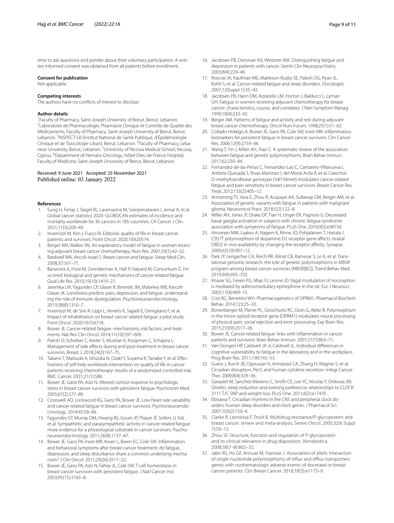time to ask questions and ponder about their voluntary participation. A written informed consent was obtained from all patients before enrollment.

#### **Consent for publication**

Not applicable.

#### **Competing interests**

The authors have no conficts of interest to disclose.

#### **Author details**

<sup>1</sup> Faculty of Pharmacy, Saint-Joseph University of Beirut, Beirut, Lebanon.<br><sup>2</sup>Laboratoire de Pharmacologie, Pharmacie Clinique et Contrôle de Qual Laboratoire de Pharmacologie, Pharmacie Clinique et Contrôle de Qualité des Médicaments, Faculty of Pharmacy, Saint-Joseph University of Beirut, Beirut, Lebanon.<sup>3</sup> INSPECT-LB (Institut National de Santé Publique, d'Épidémiologie Clinique et de Toxicologie-Liban), Beirut, Lebanon. <sup>4</sup>Faculty of Pharmacy, Lebanese University, Beirut, Lebanon. <sup>5</sup>University of Nicosia Medical School, Nicosia, Cyprus. <sup>6</sup>Department of Hemato-Oncology, Hôtel-Dieu de France Hospital, Faculty of Medicine, Saint-Joseph University of Beirut, Beirut, Lebanon.

# Received: 9 June 2021 Accepted: 25 November 2021<br>Published online: 03 January 2022

#### **References**

- <span id="page-8-0"></span>1. Sung H, Ferlay J, Siegel RL, Laversanne M, Soerjomataram I, Jemal A, et al. Global cancer statistics 2020: GLOBOCAN estimates of incidence and mortality worldwide for 36 cancers in 185 countries. CA Cancer J Clin. 2021;71(3):209–49.
- <span id="page-8-1"></span>2. Invernizzi M, Kim J, Fusco N. Editorial: quality of life in breast cancer patients and survivors. Front Oncol. 2020;10:620574.
- <span id="page-8-2"></span>3. Berger AM, Walker SN. An explanatory model of fatigue in women receiving adjuvant breast cancer chemotherapy. Nurs Res. 2001;50(1):42–52.
- <span id="page-8-3"></span>4. Bardwell WA, Ancoli-Israel S. Breast cancer and fatigue. Sleep Med Clin. 2008;3(1):61–71.
- <span id="page-8-4"></span>5. Barsevick A, Frost M, Zwinderman A, Hall P, Halyard M, Consortium G. I'm so tired: biological and genetic mechanisms of cancer-related fatigue. Qual Life Res. 2010;19(10):1419–27.
- <span id="page-8-5"></span>6. Jaremka LM, Fagundes CP, Glaser R, Bennett JM, Malarkey WB, Kiecolt-Glaser JK. Loneliness predicts pain, depression, and fatigue: understanding the role of immune dysregulation. Psychoneuroendocrinology. 2013;38(8):1310–7.
- <span id="page-8-6"></span>7. Invernizzi M, de Sire A, Lippi L, Venetis K, Sajjadi E, Gimigliano F, et al. Impact of rehabilitation on breast cancer related fatigue: a pilot study. Front Oncol. 2020;10:556718.
- <span id="page-8-7"></span>8. Bower JE. Cancer-related fatigue--mechanisms, risk factors, and treatments. Nat Rev Clin Oncol. 2014;11(10):597–609.
- <span id="page-8-8"></span>9. Palesh O, Scheiber C, Kesler S, Mustian K, Koopman C, Schapira L. Management of side efects during and post-treatment in breast cancer survivors. Breast J. 2018;24(2):167–75.
- <span id="page-8-9"></span>10. Takano T, Matsuda A, Ishizuka N, Ozaki Y, Suyama K, Tanabe Y, et al. Efectiveness of self-help workbook intervention on quality of life in cancer patients receiving chemotherapy: results of a randomized controlled trial. BMC Cancer. 2021;21(1):588.
- <span id="page-8-10"></span>11. Bower JE, Ganz PA, Aziz N. Altered cortisol response to psychologic stress in breast cancer survivors with persistent fatigue. Psychosom Med. 2005;67(2):277–80.
- <span id="page-8-11"></span>12. Crosswell AD, Lockwood KG, Ganz PA, Bower JE. Low heart rate variability and cancer-related fatigue in breast cancer survivors. Psychoneuroendocrinology. 2014;45:58–66.
- <span id="page-8-12"></span>13. Fagundes CP, Murray DM, Hwang BS, Gouin JP, Thayer JF, Sollers JJ 3rd, et al. Sympathetic and parasympathetic activity in cancer-related fatigue: more evidence for a physiological substrate in cancer survivors. Psychoneuroendocrinology. 2011;36(8):1137–47.
- <span id="page-8-13"></span>14. Bower JE, Ganz PA, Irwin MR, Kwan L, Breen EC, Cole SW. Infammation and behavioral symptoms after breast cancer treatment: do fatigue, depression, and sleep disturbance share a common underlying mechanism? J Clin Oncol. 2011;29(26):3517–22.
- <span id="page-8-14"></span>15. Bower JE, Ganz PA, Aziz N, Fahey JL, Cole SW. T-cell homeostasis in breast cancer survivors with persistent fatigue. J Natl Cancer Inst. 2003;95(15):1165–8.
- <span id="page-8-15"></span>16. Jacobsen PB, Donovan KA, Weitzner MA. Distinguishing fatigue and depression in patients with cancer. Semin Clin Neuropsychiatry. 2003;8(4):229–40.
- <span id="page-8-16"></span>17. Roscoe JA, Kaufman ME, Matteson-Rusby SE, Palesh OG, Ryan JL, Kohli S, et al. Cancer-related fatigue and sleep disorders. Oncologist. 2007;12(Suppl 1):35–42.
- <span id="page-8-17"></span>18. Jacobsen PB, Hann DM, Azzarello LM, Horton J, Balducci L, Lyman GH. Fatigue in women receiving adjuvant chemotherapy for breast cancer: characteristics, course, and correlates. J Pain Symptom Manag. 1999;18(4):233–42.
- <span id="page-8-18"></span>19. Berger AM. Patterns of fatigue and activity and rest during adjuvant breast cancer chemotherapy. Oncol Nurs Forum. 1998;25(1):51–62.
- <span id="page-8-19"></span>20. Collado-Hidalgo A, Bower JE, Ganz PA, Cole SW, Irwin MR. Infammatory biomarkers for persistent fatigue in breast cancer survivors. Clin Cancer Res. 2006;12(9):2759–66.
- <span id="page-8-20"></span>21. Wang T, Yin J, Miller AH, Xiao C. A systematic review of the association between fatigue and genetic polymorphisms. Brain Behav Immun. 2017;62:230–44.
- <span id="page-8-26"></span>22. Fernandez-de-las-Penas C, Fernandez-Lao C, Cantarero-Villanueva I, Ambite-Quesada S, Rivas-Martinez I, del Moral-Avila R, et al. Catechol-O-methyltransferase genotype (Val158met) modulates cancer-related fatigue and pain sensitivity in breast cancer survivors. Breast Cancer Res Treat. 2012;133(2):405–12.
- <span id="page-8-21"></span>23. Armstrong TS, Vera E, Zhou R, Acquaye AA, Sullaway CM, Berger AM, et al. Association of genetic variants with fatigue in patients with malignant glioma. Neurooncol Pract. 2018;5(2):122–8.
- <span id="page-8-22"></span>24. Miller AH, Jones JF, Drake DF, Tian H, Unger ER, Pagnoni G. Decreased basal ganglia activation in subjects with chronic fatigue syndrome: association with symptoms of fatigue. PLoS One. 2014;9(5):e98156.
- <span id="page-8-24"></span>25. Hirvonen MM, Laakso A, Nagren K, Rinne JO, Pohjalainen T, Hietala J. C957T polymorphism of dopamine D2 receptor gene afects striatal DRD2 in vivo availability by changing the receptor affinity. Synapse. 2009;63(10):907–12.
- <span id="page-8-23"></span>26. Park JY, Lengacher CA, Reich RR, Alinat CB, Ramesar S, Le A, et al. Translational genomic research: the role of genetic polymorphisms in MBSR program among breast cancer survivors (MBSR[BC]). Transl Behav Med. 2019;9(4):693–702.
- <span id="page-8-25"></span>27. Khasar SG, Green PG, Miao FJ, Levine JD. Vagal modulation of nociception is mediated by adrenomedullary epinephrine in the rat. Eur J Neurosci. 2003;17(4):909–15.
- <span id="page-8-27"></span>28. Crist RC, Berrettini WH. Pharmacogenetics of OPRM1. Pharmacol Biochem Behav. 2014;123:25–33.
- <span id="page-8-28"></span>29. Bonenberger M, Plener PL, Groschwitz RC, Gron G, Abler B. Polymorphism in the micro-opioid receptor gene (OPRM1) modulates neural processing of physical pain, social rejection and error processing. Exp Brain Res. 2015;233(9):2517–26.
- <span id="page-8-29"></span>30. Bower JE. Cancer-related fatigue: links with infammation in cancer patients and survivors. Brain Behav Immun. 2007;21(7):863–71.
- <span id="page-8-30"></span>31. Van Dongen HP, Caldwell JA Jr, Caldwell JL. Individual diferences in cognitive vulnerability to fatigue in the laboratory and in the workplace. Prog Brain Res. 2011;190:145–53.
- <span id="page-8-31"></span>32. Guess J, Burch JB, Ogoussan K, Armstead CA, Zhang H, Wagner S, et al. Circadian disruption, Per3, and human cytokine secretion. Integr Cancer Ther. 2009;8(4):329–36.
- <span id="page-8-32"></span>33. Garaulet M, Sanchez-Moreno C, Smith CE, Lee YC, Nicolas F, Ordovas JM. Ghrelin, sleep reduction and evening preference: relationships to CLOCK 3111 T/C SNP and weight loss. PLoS One. 2011;6(2):e17435.
- <span id="page-8-33"></span>34. Ebisawa T. Circadian rhythms in the CNS and peripheral clock disorders: human sleep disorders and clock genes. J Pharmacol Sci. 2007;103(2):150–4.
- <span id="page-8-34"></span>35. Clarke R, Leonessa F, Trock B. Multidrug resistance/P-glycoprotein and breast cancer: review and meta-analysis. Semin Oncol. 2005;32(6 Suppl 7):S9–15.
- <span id="page-8-35"></span>36. Zhou SF. Structure, function and regulation of P-glycoprotein and its clinical relevance in drug disposition. Xenobiotica. 2008;38(7–8):802–32.
- <span id="page-8-36"></span>37. Jabir RS, Ho GF, Annuar M, Stanslas J. Association of allelic Interaction of single nucleotide polymorphisms of influx and efflux transporters genes with nonhematologic adverse events of docetaxel in breast cancer patients. Clin Breast Cancer. 2018;18(5):e1173–9.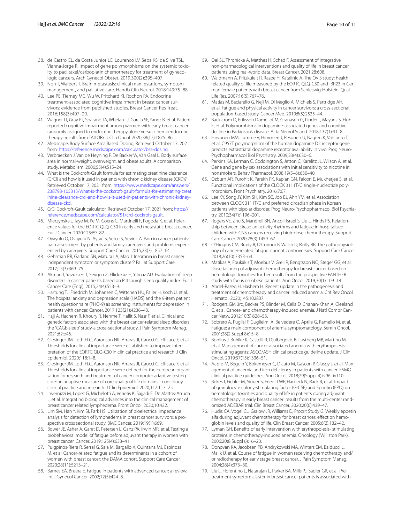- <span id="page-9-0"></span>38. de Castro CL, da Costa Junior LC, Lourenco LV, Seba KS, da Silva TSL, Vianna-Jorge R. Impact of gene polymorphisms on the systemic toxicity to paclitaxel/carboplatin chemotherapy for treatment of gynecologic cancers. Arch Gynecol Obstet. 2019;300(2):395–407.
- <span id="page-9-1"></span>39. Noh T, Walbert T. Brain metastasis: clinical manifestations, symptom management, and palliative care. Handb Clin Neurol. 2018;149:75–88.
- 40. Lee PE, Tierney MC, Wu W, Pritchard KI, Rochon PA. Endocrine treatment-associated cognitive impairment in breast cancer survivors: evidence from published studies. Breast Cancer Res Treat. 2016;158(3):407–20.
- <span id="page-9-2"></span>41. Wagner LI, Gray RJ, Sparano JA, Whelan TJ, Garcia SF, Yanez B, et al. Patientreported cognitive impairment among women with early breast cancer randomly assigned to endocrine therapy alone versus chemoendocrine therapy: results from TAILORx. J Clin Oncol. 2020;38(17):1875–86.
- <span id="page-9-3"></span>42. Medscape, Body Surface Area Based Dosing, Retrieved October 17, 2021 from: [https://reference.medscape.com/calculator/bsa-dosing.](https://reference.medscape.com/calculator/bsa-dosing)
- <span id="page-9-4"></span>43. Verbraecken J, Van de Heyning P, De Backer W, Van Gaal L. Body surface area in normal-weight, overweight, and obese adults. A comparison study. Metabolism. 2006;55(4):515–24.
- <span id="page-9-5"></span>44. What is the Cockcroft-Gault formula for estimating creatinine clearance (CrCl) and how is it used in patients with chronic kidney disease (CKD)? Retrieved October 17, 2021 from: [https://www.medscape.com/answers/](https://www.medscape.com/answers/238798-105315/what-is-the-cockcroft-gault-formula-for-estimating-creatinine-clearance-crcl-and-how-is-it-used-in-patients-with-chronic-kidney-disease-ckd) [238798-105315/what-is-the-cockcroft-gault-formula-for-estimating-creat](https://www.medscape.com/answers/238798-105315/what-is-the-cockcroft-gault-formula-for-estimating-creatinine-clearance-crcl-and-how-is-it-used-in-patients-with-chronic-kidney-disease-ckd) [inine-clearance-crcl-and-how-is-it-used-in-patients-with-chronic-kidney](https://www.medscape.com/answers/238798-105315/what-is-the-cockcroft-gault-formula-for-estimating-creatinine-clearance-crcl-and-how-is-it-used-in-patients-with-chronic-kidney-disease-ckd)[disease-ckd.](https://www.medscape.com/answers/238798-105315/what-is-the-cockcroft-gault-formula-for-estimating-creatinine-clearance-crcl-and-how-is-it-used-in-patients-with-chronic-kidney-disease-ckd)
- <span id="page-9-6"></span>45. CrCl Cockroft-Gault calculator, Retrieved October 17, 2021 from: [https://](https://reference.medscape.com/calculator/51/crcl-cockroft-gault) [reference.medscape.com/calculator/51/crcl-cockroft-gault](https://reference.medscape.com/calculator/51/crcl-cockroft-gault).
- <span id="page-9-7"></span>46. Mierzynska J, Taye M, Pe M, Coens C, Martinelli F, Pogoda K, et al. Reference values for the EORTC QLQ-C30 in early and metastatic breast cancer. Eur J Cancer. 2020;125:69–82.
- <span id="page-9-8"></span>47. Ovayolu O, Ovayolu N, Aytac S, Serce S, Sevinc A. Pain in cancer patients: pain assessment by patients and family caregivers and problems experienced by caregivers. Support Care Cancer. 2015;23(7):1857–64.
- <span id="page-9-9"></span>48. Gehrman PR, Garland SN, Matura LA, Mao J. Insomnia in breast cancer: independent symptom or symptom cluster? Palliat Support Care. 2017;15(3):369–75.
- <span id="page-9-10"></span>49. Akman T, Yavuzsen T, Sevgen Z, Ellidokuz H, Yilmaz AU. Evaluation of sleep disorders in cancer patients based on Pittsburgh sleep quality index. Eur J Cancer Care (Engl). 2015;24(4):553–9.
- <span id="page-9-11"></span>50. Hartung TJ, Friedrich M, Johansen C, Wittchen HU, Faller H, Koch U, et al. The hospital anxiety and depression scale (HADS) and the 9-item patient health questionnaire (PHQ-9) as screening instruments for depression in patients with cancer. Cancer. 2017;123(21):4236–43.
- <span id="page-9-12"></span>51. Hajj A, Hachem R, Khoury R, Nehme T, Hallit S, Nasr F, et al. Clinical and genetic factors associated with the breast cancer-related sleep disorders: the "CAGE-sleep" study-a cross-sectional study. J Pain Symptom Manag. 2021;62:e46.
- <span id="page-9-13"></span>52. Giesinger JM, Loth FLC, Aaronson NK, Arraras JI, Caocci G, Efficace F, et al. Thresholds for clinical importance were established to improve interpretation of the EORTC QLQ-C30 in clinical practice and research. J Clin Epidemiol. 2020;118:1–8.
- <span id="page-9-14"></span>53. Giesinger JM, Loth FLC, Aaronson NK, Arraras JI, Caocci G, Efficace F, et al. Thresholds for clinical importance were defned for the European organisation for research and treatment of cancer computer adaptive testing core-an adaptive measure of core quality of life domains in oncology clinical practice and research. J Clin Epidemiol. 2020;117:117–25.
- <span id="page-9-15"></span>54. Invernizzi M, Lopez G, Michelotti A, Venetis K, Sajjadi E, De Mattos-Arruda L, et al. Integrating biological advances into the clinical management of breast cancer related lymphedema. Front Oncol. 2020;10:422.
- <span id="page-9-16"></span>55. Lim SM, Han Y, Kim SI, Park HS. Utilization of bioelectrical impedance analysis for detection of lymphedema in breast cancer survivors: a prospective cross sectional study. BMC Cancer. 2019;19(1):669.
- <span id="page-9-17"></span>56. Bower JE, Asher A, Garet D, Petersen L, Ganz PA, Irwin MR, et al. Testing a biobehavioral model of fatigue before adjuvant therapy in women with breast cancer. Cancer. 2019;125(4):633–41.
- 57. Puigpinos-Riera R, Serral G, Sala M, Bargallo X, Quintana MJ, Espinosa M, et al. Cancer-related fatigue and its determinants in a cohort of women with breast cancer: the DAMA cohort. Support Care Cancer. 2020;28(11):5213–21.
- <span id="page-9-18"></span>58. Barnes EA, Bruera E. Fatigue in patients with advanced cancer: a review. Int J Gynecol Cancer. 2002;12(5):424–8.
- <span id="page-9-19"></span>59. Oei SL, Thronicke A, Matthes H, Schad F. Assessment of integrative non-pharmacological interventions and quality of life in breast cancer patients using real-world data. Breast Cancer. 2021;28:608.
- 60. Waldmann A, Pritzkuleit R, Raspe H, Katalinic A. The OVIS study: health related quality of life measured by the EORTC QLQ-C30 and -BR23 in German female patients with breast cancer from Schleswig-Holstein. Qual Life Res. 2007;16(5):767–76.
- <span id="page-9-20"></span>61. Matias M, Baciarello G, Neji M, Di Meglio A, Michiels S, Partridge AH, et al. Fatigue and physical activity in cancer survivors: a cross-sectional population-based study. Cancer Med. 2019;8(5):2535–44.
- <span id="page-9-21"></span>62. Backstrom D, Eriksson Domellof M, Granasen G, Linder J, Mayans S, Elgh E, et al. Polymorphisms in dopamine-associated genes and cognitive decline in Parkinson's disease. Acta Neurol Scand. 2018;137(1):91–8.
- <span id="page-9-22"></span>63. Hirvonen MM, Lumme V, Hirvonen J, Pesonen U, Nagren K, Vahlberg T, et al. C957T polymorphism of the human dopamine D2 receptor gene predicts extrastriatal dopamine receptor availability in vivo. Prog Neuro-Psychopharmacol Biol Psychiatry. 2009;33(4):630–6.
- <span id="page-9-23"></span>64. Perkins KA, Lerman C, Coddington S, Jetton C, Karelitz JL, Wilson A, et al. Gene and gene by sex associations with initial sensitivity to nicotine in nonsmokers. Behav Pharmacol. 2008;19(5–6):630–40.
- <span id="page-9-24"></span>65. Ozburn AR, Purohit K, Parekh PK, Kaplan GN, Falcon E, Mukherjee S, et al. Functional implications of the CLOCK 3111T/C single-nucleotide polymorphism. Front Psychiatry. 2016;7:67.
- <span id="page-9-25"></span>66. Lee KY, Song JY, Kim SH, Kim SC, Joo EJ, Ahn YM, et al. Association between CLOCK 3111T/C and preferred circadian phase in Korean patients with bipolar disorder. Prog Neuro-Psychopharmacol Biol Psychiatry. 2010;34(7):1196–201.
- <span id="page-9-26"></span>67. Rogers VE, Zhu S, Mandrell BN, Ancoli-Israel S, Liu L, Hinds PS. Relationship between circadian activity rhythms and fatigue in hospitalized children with CNS cancers receiving high-dose chemotherapy. Support Care Cancer. 2020;28(3):1459–67.
- <span id="page-9-27"></span>68. O'Higgins CM, Brady B, O'Connor B, Walsh D, Reilly RB. The pathophysiology of cancer-related fatigue: current controversies. Support Care Cancer. 2018;26(10):3353–64.
- <span id="page-9-28"></span>69. Matikas A, Foukakis T, Moebus V, Greil R, Bengtsson NO, Steger GG, et al. Dose tailoring of adjuvant chemotherapy for breast cancer based on hematologic toxicities: further results from the prospective PANTHER study with focus on obese patients. Ann Oncol. 2019;30(1):109–14.
- <span id="page-9-29"></span>70. Abdel-Razeq H, Hashem H. Recent update in the pathogenesis and treatment of chemotherapy and cancer induced anemia. Crit Rev Oncol Hematol. 2020;145:102837.
- <span id="page-9-30"></span>71. Rodgers GM 3rd, Becker PS, Blinder M, Cella D, Chanan-Khan A, Cleeland C, et al. Cancer- and chemotherapy-induced anemia. J Natl Compr Cancer Netw. 2012;10(5):628–53.
- <span id="page-9-31"></span>72. Sobrero A, Puglisi F, Guglielmi A, Belvedere O, Aprile G, Ramello M, et al. Fatigue: a main component of anemia symptomatology. Semin Oncol. 2001;28(2 Suppl 8):15–8.
- <span id="page-9-32"></span>73. Bohlius J, Bohlke K, Castelli R, Djulbegovic B, Lustberg MB, Martino M, et al. Management of cancer-associated anemia with erythropoiesisstimulating agents: ASCO/ASH clinical practice guideline update. J Clin Oncol. 2019;37(15):1336–51.
- <span id="page-9-33"></span>74. Aapro M, Beguin Y, Bokemeyer C, Dicato M, Gascon P, Glaspy J, et al. Management of anaemia and iron defciency in patients with cancer: ESMO clinical practice guidelines. Ann Oncol. 2018;29(Suppl 4):iv96–iv110.
- <span id="page-9-34"></span>75. Bekes I, Eichler M, Singer S, Friedl TWP, Harbeck N, Rack B, et al. Impact of granulocyte colony-stimulating factor (G-CSF) and Epoetin (EPO) on hematologic toxicities and quality of life in patients during adjuvant chemotherapy in early breast cancer: results from the multi-center randomized ADEBAR trial. Clin Breast Cancer. 2020;20(6):439–47.
- 76. Hudis CA, Vogel CL, Gralow JR, Williams D, Procrit Study G. Weekly epoetin alfa during adjuvant chemotherapy for breast cancer: effect on hemoglobin levels and quality of life. Clin Breast Cancer. 2005;6(2):132–42.
- <span id="page-9-35"></span>77. Lyman GH. Benefts of early intervention with erythropoiesis- stimulating proteins in chemotherapy-induced anemia. Oncology (Williston Park). 2006;20(8 Suppl 6):16–20.
- <span id="page-9-36"></span>78. Donovan KA, Jacobsen PB, Andrykowski MA, Winters EM, Balducci L, Malik U, et al. Course of fatigue in women receiving chemotherapy and/ or radiotherapy for early stage breast cancer. J Pain Symptom Manag. 2004;28(4):373–80.
- 79. Liu L, Fiorentino L, Natarajan L, Parker BA, Mills PJ, Sadler GR, et al. Pretreatment symptom cluster in breast cancer patients is associated with